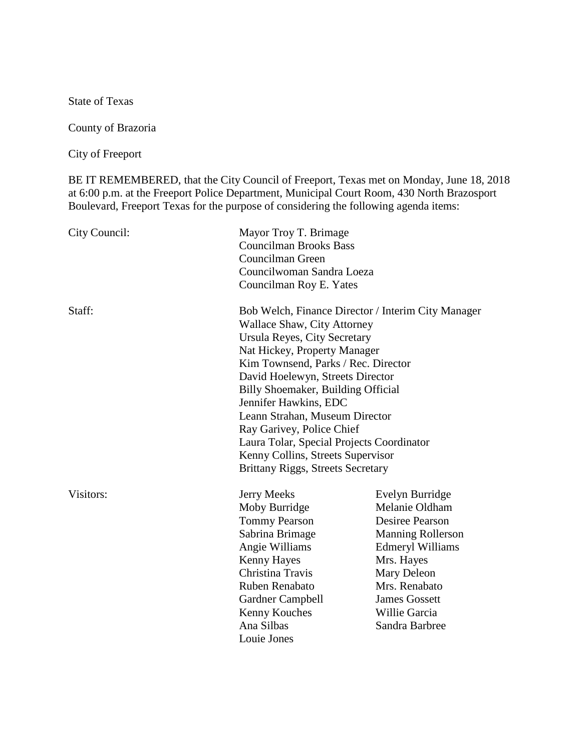State of Texas

County of Brazoria

City of Freeport

BE IT REMEMBERED, that the City Council of Freeport, Texas met on Monday, June 18, 2018 at 6:00 p.m. at the Freeport Police Department, Municipal Court Room, 430 North Brazosport Boulevard, Freeport Texas for the purpose of considering the following agenda items:

| City Council: | Mayor Troy T. Brimage<br><b>Councilman Brooks Bass</b><br>Councilman Green<br>Councilwoman Sandra Loeza<br>Councilman Roy E. Yates                                                                                                                                                                                                                                                                                                                                                              |                                                                                                                                                                                                                             |
|---------------|-------------------------------------------------------------------------------------------------------------------------------------------------------------------------------------------------------------------------------------------------------------------------------------------------------------------------------------------------------------------------------------------------------------------------------------------------------------------------------------------------|-----------------------------------------------------------------------------------------------------------------------------------------------------------------------------------------------------------------------------|
| Staff:        | Bob Welch, Finance Director / Interim City Manager<br><b>Wallace Shaw, City Attorney</b><br>Ursula Reyes, City Secretary<br>Nat Hickey, Property Manager<br>Kim Townsend, Parks / Rec. Director<br>David Hoelewyn, Streets Director<br>Billy Shoemaker, Building Official<br>Jennifer Hawkins, EDC<br>Leann Strahan, Museum Director<br>Ray Garivey, Police Chief<br>Laura Tolar, Special Projects Coordinator<br>Kenny Collins, Streets Supervisor<br><b>Brittany Riggs, Streets Secretary</b> |                                                                                                                                                                                                                             |
| Visitors:     | <b>Jerry Meeks</b><br>Moby Burridge<br><b>Tommy Pearson</b><br>Sabrina Brimage<br>Angie Williams<br><b>Kenny Hayes</b><br>Christina Travis<br>Ruben Renabato<br>Gardner Campbell<br>Kenny Kouches<br>Ana Silbas<br>Louie Jones                                                                                                                                                                                                                                                                  | Evelyn Burridge<br>Melanie Oldham<br><b>Desiree Pearson</b><br><b>Manning Rollerson</b><br><b>Edmeryl Williams</b><br>Mrs. Hayes<br>Mary Deleon<br>Mrs. Renabato<br><b>James Gossett</b><br>Willie Garcia<br>Sandra Barbree |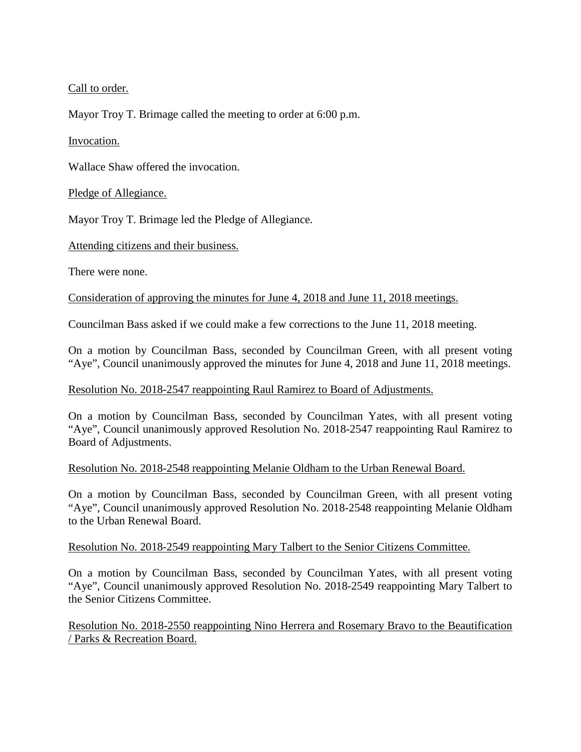Call to order.

Mayor Troy T. Brimage called the meeting to order at 6:00 p.m.

# Invocation.

Wallace Shaw offered the invocation.

# Pledge of Allegiance.

Mayor Troy T. Brimage led the Pledge of Allegiance.

Attending citizens and their business.

There were none.

Consideration of approving the minutes for June 4, 2018 and June 11, 2018 meetings.

Councilman Bass asked if we could make a few corrections to the June 11, 2018 meeting.

On a motion by Councilman Bass, seconded by Councilman Green, with all present voting "Aye", Council unanimously approved the minutes for June 4, 2018 and June 11, 2018 meetings.

# Resolution No. 2018-2547 reappointing Raul Ramirez to Board of Adjustments.

On a motion by Councilman Bass, seconded by Councilman Yates, with all present voting "Aye", Council unanimously approved Resolution No. 2018-2547 reappointing Raul Ramirez to Board of Adjustments.

# Resolution No. 2018-2548 reappointing Melanie Oldham to the Urban Renewal Board.

On a motion by Councilman Bass, seconded by Councilman Green, with all present voting "Aye", Council unanimously approved Resolution No. 2018-2548 reappointing Melanie Oldham to the Urban Renewal Board.

# Resolution No. 2018-2549 reappointing Mary Talbert to the Senior Citizens Committee.

On a motion by Councilman Bass, seconded by Councilman Yates, with all present voting "Aye", Council unanimously approved Resolution No. 2018-2549 reappointing Mary Talbert to the Senior Citizens Committee.

Resolution No. 2018-2550 reappointing Nino Herrera and Rosemary Bravo to the Beautification / Parks & Recreation Board.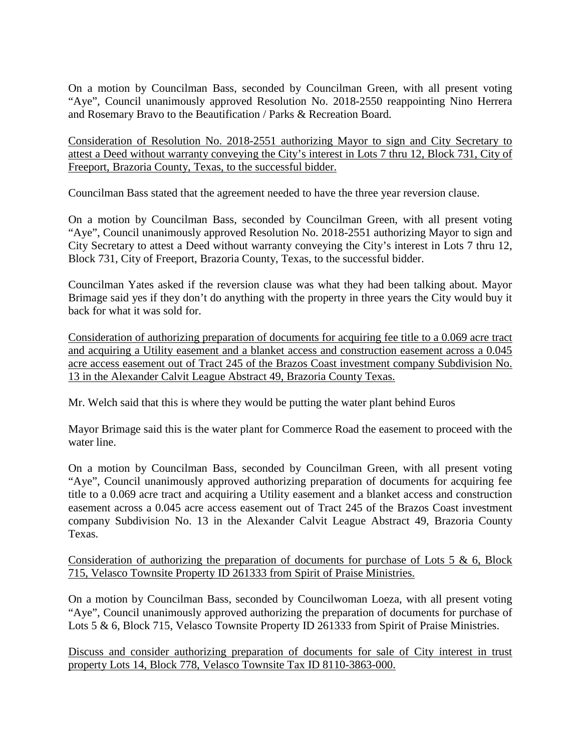On a motion by Councilman Bass, seconded by Councilman Green, with all present voting "Aye", Council unanimously approved Resolution No. 2018-2550 reappointing Nino Herrera and Rosemary Bravo to the Beautification / Parks & Recreation Board.

Consideration of Resolution No. 2018-2551 authorizing Mayor to sign and City Secretary to attest a Deed without warranty conveying the City's interest in Lots 7 thru 12, Block 731, City of Freeport, Brazoria County, Texas, to the successful bidder.

Councilman Bass stated that the agreement needed to have the three year reversion clause.

On a motion by Councilman Bass, seconded by Councilman Green, with all present voting "Aye", Council unanimously approved Resolution No. 2018-2551 authorizing Mayor to sign and City Secretary to attest a Deed without warranty conveying the City's interest in Lots 7 thru 12, Block 731, City of Freeport, Brazoria County, Texas, to the successful bidder.

Councilman Yates asked if the reversion clause was what they had been talking about. Mayor Brimage said yes if they don't do anything with the property in three years the City would buy it back for what it was sold for.

Consideration of authorizing preparation of documents for acquiring fee title to a 0.069 acre tract and acquiring a Utility easement and a blanket access and construction easement across a 0.045 acre access easement out of Tract 245 of the Brazos Coast investment company Subdivision No. 13 in the Alexander Calvit League Abstract 49, Brazoria County Texas.

Mr. Welch said that this is where they would be putting the water plant behind Euros

Mayor Brimage said this is the water plant for Commerce Road the easement to proceed with the water line.

On a motion by Councilman Bass, seconded by Councilman Green, with all present voting "Aye", Council unanimously approved authorizing preparation of documents for acquiring fee title to a 0.069 acre tract and acquiring a Utility easement and a blanket access and construction easement across a 0.045 acre access easement out of Tract 245 of the Brazos Coast investment company Subdivision No. 13 in the Alexander Calvit League Abstract 49, Brazoria County Texas.

Consideration of authorizing the preparation of documents for purchase of Lots 5  $\&$  6, Block 715, Velasco Townsite Property ID 261333 from Spirit of Praise Ministries.

On a motion by Councilman Bass, seconded by Councilwoman Loeza, with all present voting "Aye", Council unanimously approved authorizing the preparation of documents for purchase of Lots 5 & 6, Block 715, Velasco Townsite Property ID 261333 from Spirit of Praise Ministries.

Discuss and consider authorizing preparation of documents for sale of City interest in trust property Lots 14, Block 778, Velasco Townsite Tax ID 8110-3863-000.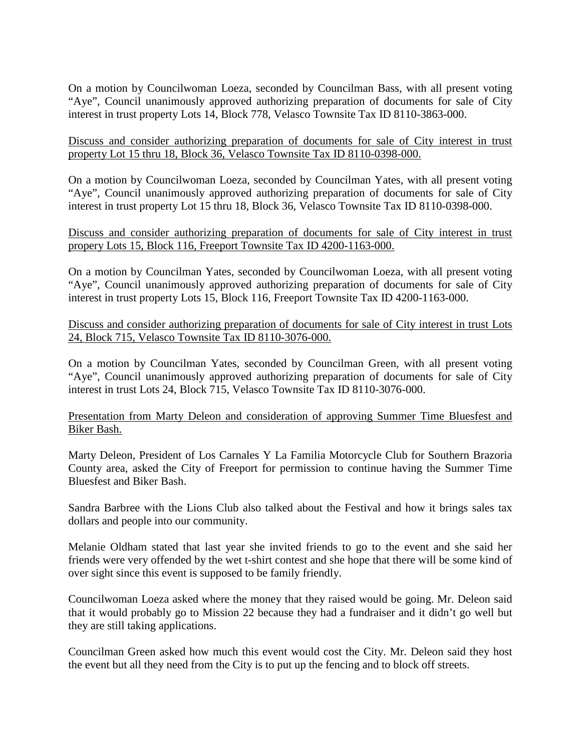On a motion by Councilwoman Loeza, seconded by Councilman Bass, with all present voting "Aye", Council unanimously approved authorizing preparation of documents for sale of City interest in trust property Lots 14, Block 778, Velasco Townsite Tax ID 8110-3863-000.

## Discuss and consider authorizing preparation of documents for sale of City interest in trust property Lot 15 thru 18, Block 36, Velasco Townsite Tax ID 8110-0398-000.

On a motion by Councilwoman Loeza, seconded by Councilman Yates, with all present voting "Aye", Council unanimously approved authorizing preparation of documents for sale of City interest in trust property Lot 15 thru 18, Block 36, Velasco Townsite Tax ID 8110-0398-000.

## Discuss and consider authorizing preparation of documents for sale of City interest in trust propery Lots 15, Block 116, Freeport Townsite Tax ID 4200-1163-000.

On a motion by Councilman Yates, seconded by Councilwoman Loeza, with all present voting "Aye", Council unanimously approved authorizing preparation of documents for sale of City interest in trust property Lots 15, Block 116, Freeport Townsite Tax ID 4200-1163-000.

## Discuss and consider authorizing preparation of documents for sale of City interest in trust Lots 24, Block 715, Velasco Townsite Tax ID 8110-3076-000.

On a motion by Councilman Yates, seconded by Councilman Green, with all present voting "Aye", Council unanimously approved authorizing preparation of documents for sale of City interest in trust Lots 24, Block 715, Velasco Townsite Tax ID 8110-3076-000.

## Presentation from Marty Deleon and consideration of approving Summer Time Bluesfest and Biker Bash.

Marty Deleon, President of Los Carnales Y La Familia Motorcycle Club for Southern Brazoria County area, asked the City of Freeport for permission to continue having the Summer Time Bluesfest and Biker Bash.

Sandra Barbree with the Lions Club also talked about the Festival and how it brings sales tax dollars and people into our community.

Melanie Oldham stated that last year she invited friends to go to the event and she said her friends were very offended by the wet t-shirt contest and she hope that there will be some kind of over sight since this event is supposed to be family friendly.

Councilwoman Loeza asked where the money that they raised would be going. Mr. Deleon said that it would probably go to Mission 22 because they had a fundraiser and it didn't go well but they are still taking applications.

Councilman Green asked how much this event would cost the City. Mr. Deleon said they host the event but all they need from the City is to put up the fencing and to block off streets.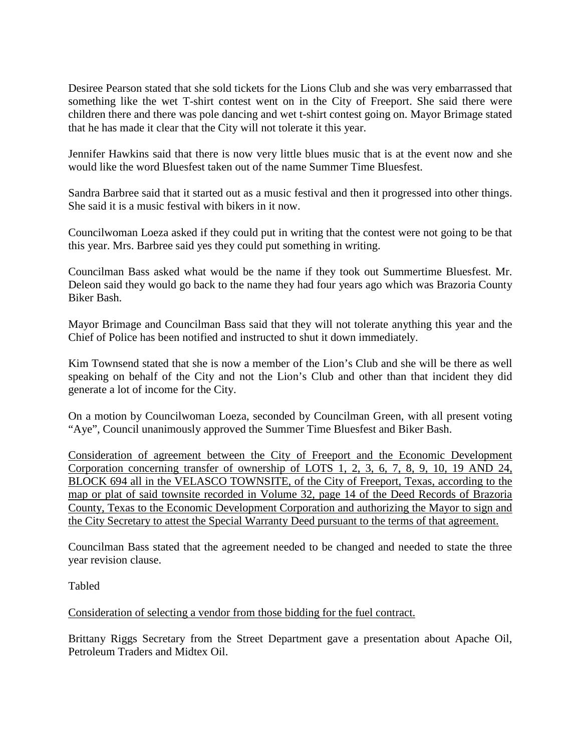Desiree Pearson stated that she sold tickets for the Lions Club and she was very embarrassed that something like the wet T-shirt contest went on in the City of Freeport. She said there were children there and there was pole dancing and wet t-shirt contest going on. Mayor Brimage stated that he has made it clear that the City will not tolerate it this year.

Jennifer Hawkins said that there is now very little blues music that is at the event now and she would like the word Bluesfest taken out of the name Summer Time Bluesfest.

Sandra Barbree said that it started out as a music festival and then it progressed into other things. She said it is a music festival with bikers in it now.

Councilwoman Loeza asked if they could put in writing that the contest were not going to be that this year. Mrs. Barbree said yes they could put something in writing.

Councilman Bass asked what would be the name if they took out Summertime Bluesfest. Mr. Deleon said they would go back to the name they had four years ago which was Brazoria County Biker Bash.

Mayor Brimage and Councilman Bass said that they will not tolerate anything this year and the Chief of Police has been notified and instructed to shut it down immediately.

Kim Townsend stated that she is now a member of the Lion's Club and she will be there as well speaking on behalf of the City and not the Lion's Club and other than that incident they did generate a lot of income for the City.

On a motion by Councilwoman Loeza, seconded by Councilman Green, with all present voting "Aye", Council unanimously approved the Summer Time Bluesfest and Biker Bash.

Consideration of agreement between the City of Freeport and the Economic Development Corporation concerning transfer of ownership of LOTS 1, 2, 3, 6, 7, 8, 9, 10, 19 AND 24, BLOCK 694 all in the VELASCO TOWNSITE, of the City of Freeport, Texas, according to the map or plat of said townsite recorded in Volume 32, page 14 of the Deed Records of Brazoria County, Texas to the Economic Development Corporation and authorizing the Mayor to sign and the City Secretary to attest the Special Warranty Deed pursuant to the terms of that agreement.

Councilman Bass stated that the agreement needed to be changed and needed to state the three year revision clause.

Tabled

Consideration of selecting a vendor from those bidding for the fuel contract.

Brittany Riggs Secretary from the Street Department gave a presentation about Apache Oil, Petroleum Traders and Midtex Oil.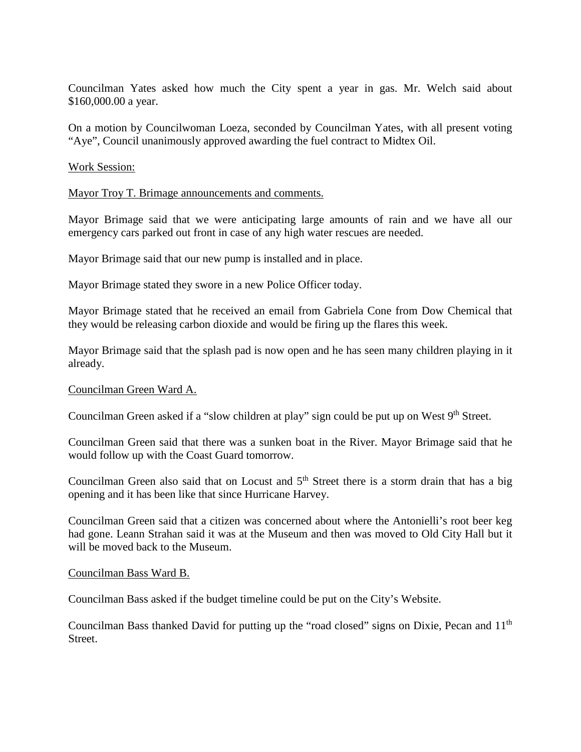Councilman Yates asked how much the City spent a year in gas. Mr. Welch said about \$160,000.00 a year.

On a motion by Councilwoman Loeza, seconded by Councilman Yates, with all present voting "Aye", Council unanimously approved awarding the fuel contract to Midtex Oil.

#### Work Session:

#### Mayor Troy T. Brimage announcements and comments.

Mayor Brimage said that we were anticipating large amounts of rain and we have all our emergency cars parked out front in case of any high water rescues are needed.

Mayor Brimage said that our new pump is installed and in place.

Mayor Brimage stated they swore in a new Police Officer today.

Mayor Brimage stated that he received an email from Gabriela Cone from Dow Chemical that they would be releasing carbon dioxide and would be firing up the flares this week.

Mayor Brimage said that the splash pad is now open and he has seen many children playing in it already.

#### Councilman Green Ward A.

Councilman Green asked if a "slow children at play" sign could be put up on West 9<sup>th</sup> Street.

Councilman Green said that there was a sunken boat in the River. Mayor Brimage said that he would follow up with the Coast Guard tomorrow.

Councilman Green also said that on Locust and  $5<sup>th</sup>$  Street there is a storm drain that has a big opening and it has been like that since Hurricane Harvey.

Councilman Green said that a citizen was concerned about where the Antonielli's root beer keg had gone. Leann Strahan said it was at the Museum and then was moved to Old City Hall but it will be moved back to the Museum.

#### Councilman Bass Ward B.

Councilman Bass asked if the budget timeline could be put on the City's Website.

Councilman Bass thanked David for putting up the "road closed" signs on Dixie, Pecan and 11<sup>th</sup> Street.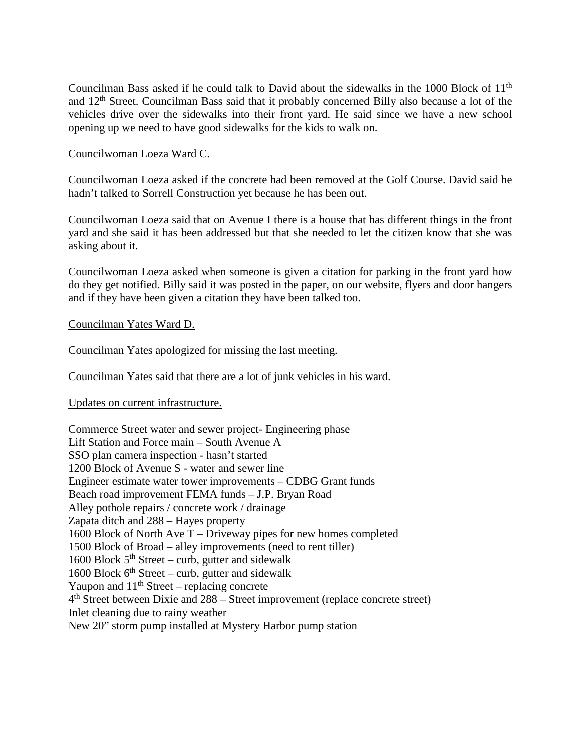Councilman Bass asked if he could talk to David about the sidewalks in the 1000 Block of 11<sup>th</sup> and 12th Street. Councilman Bass said that it probably concerned Billy also because a lot of the vehicles drive over the sidewalks into their front yard. He said since we have a new school opening up we need to have good sidewalks for the kids to walk on.

## Councilwoman Loeza Ward C.

Councilwoman Loeza asked if the concrete had been removed at the Golf Course. David said he hadn't talked to Sorrell Construction yet because he has been out.

Councilwoman Loeza said that on Avenue I there is a house that has different things in the front yard and she said it has been addressed but that she needed to let the citizen know that she was asking about it.

Councilwoman Loeza asked when someone is given a citation for parking in the front yard how do they get notified. Billy said it was posted in the paper, on our website, flyers and door hangers and if they have been given a citation they have been talked too.

### Councilman Yates Ward D.

Councilman Yates apologized for missing the last meeting.

Councilman Yates said that there are a lot of junk vehicles in his ward.

### Updates on current infrastructure.

Commerce Street water and sewer project- Engineering phase Lift Station and Force main – South Avenue A SSO plan camera inspection - hasn't started 1200 Block of Avenue S - water and sewer line Engineer estimate water tower improvements – CDBG Grant funds Beach road improvement FEMA funds – J.P. Bryan Road Alley pothole repairs / concrete work / drainage Zapata ditch and 288 – Hayes property 1600 Block of North Ave T – Driveway pipes for new homes completed 1500 Block of Broad – alley improvements (need to rent tiller) 1600 Block  $5<sup>th</sup> Street - \text{curb}$ , gutter and sidewalk 1600 Block  $6<sup>th</sup> Street - \text{curb}$ , gutter and sidewalk Yaupon and  $11<sup>th</sup>$  Street – replacing concrete  $4<sup>th</sup>$  Street between Dixie and 288 – Street improvement (replace concrete street) Inlet cleaning due to rainy weather New 20" storm pump installed at Mystery Harbor pump station